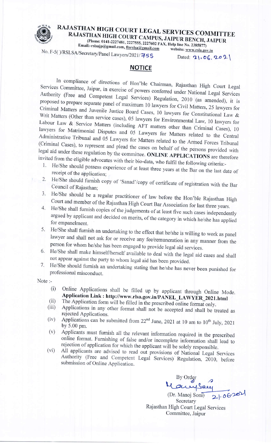## RAJASTHAN HIGH COURT LEGAL SERVICES COMMITTEE RAJASTHAN HIGH COURT CAMPUS, JAIPUR BENCH, JAIPUR

(Phone: 0141-2227481, 2227555, 2227602 FAX, Help line No. 2385877)

Email:-rslsajp@gmail.com, ftsrslsa@gmail.com website: www.rsla.gov.in

No. F-5()/RSLSA/Secretary/Panel Lawyers/2021/755

Dated:  $21.06.202$ 

## **NOTICE**

In compliance of directions of Hon'ble Chairman, Rajasthan High Court Legal Services Committee, Jaipur, in exercise of powers conferred under National Legal Services Authority (Free and Competent Legal Services) Regulation, 2010 (as amended), it is proposed to prepare separate panel of maximum 10 lawyers for Civil Matters, 25 lawyers for Criminal Matters and Juvenile Justice Board Cases, 10 lawyers for Constitutional Law & Writ Matters (Other than service cases), 05 lawyers for Environmental Law, 10 lawyers for Labour Law & Service Matters (including AFT matters other than Criminal Cases), 10 lawyers for Matrimonial Disputes and 05 Lawyers for Matters related to the Central Administrative Tribunal and 05 Lawyers for Matters related to the Armed Forces Tribunal (Criminal Cases), to represent and plead the cases on behalf of the persons provided with legal aid under these regulation by the committee. ONLINE APPLICATIONS are therefore invited from the eligible advocates with their bio-data, who fulfil the following criteria:-

- He/She should possess experience of at least three years at the Bar on the last date of receipt of the application;
- 2. He/She should furnish copy of 'Sanad'/copy of certificate of registration with the Bar Council of Rajasthan;
- 3. He/She should be a regular practitioner of law before the Hon'ble Rajasthan High Court and member of the Rajasthan High Court Bar Association for last three years.
- He/She shall furnish copies of the judgements of at least five such cases independently 4. argued by applicant and decided on merits, of the category in which he/she has applied for empanelment.
- 5. He/She shall furnish an undertaking to the effect that he/she is willing to work as panel lawyer and shall not ask for or receive any fee/remuneration in any manner from the person for whom he/she has been engaged to provide legal aid services.
- He/She shall make himself/herself available to deal with the legal aid cases and shall 6. not appear against the party to whom legal aid has been provided.
- He/She should furnish an undertaking stating that he/she has never been punished for 7. professional misconduct.

Note:-

- Online Applications shall be filled up by applicant through Online Mode.  $(i)$ Application Link: http://www.rlsa.gov.in/PANEL\_LAWYER\_2021.html
- The Application form will be filled in the prescribed online format only.  $(ii)$
- Applications in any other format shall not be accepted and shall be treated as  $(iii)$ rejected Applications.
- Applications can be submitted from  $22^{nd}$  June, 2021 at 10 am to  $10^{th}$  July, 2021  $(iv)$ by 5.00 pm.
- Applicants must furnish all the relevant information required in the prescribed  $(v)$ online format. Furnishing of false and/or incomplete information shall lead to rejection of application for which the applicant will be solely responsible.
- All applicants are advised to read out provisions of National Legal Services  $(vi)$ Authority (Free and Competent Legal Services) Regulation, 2010, before submission of Online Application.

By Order  $21.06201$ 

(Dr. Manoj Soni) Secretary Rajasthan High Court Legal Services Committee, Jaipur